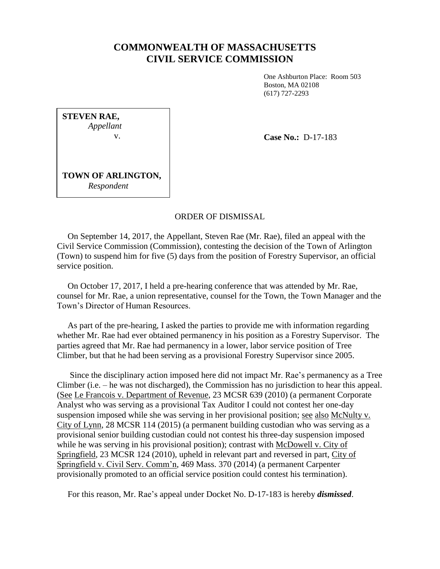## **COMMONWEALTH OF MASSACHUSETTS CIVIL SERVICE COMMISSION**

One Ashburton Place: Room 503 Boston, MA 02108 (617) 727-2293

**STEVEN RAE,** *Appellant* v.

**Case No.:** D-17-183

**TOWN OF ARLINGTON,** *Respondent*

## ORDER OF DISMISSAL

 On September 14, 2017, the Appellant, Steven Rae (Mr. Rae), filed an appeal with the Civil Service Commission (Commission), contesting the decision of the Town of Arlington (Town) to suspend him for five (5) days from the position of Forestry Supervisor, an official service position.

 On October 17, 2017, I held a pre-hearing conference that was attended by Mr. Rae, counsel for Mr. Rae, a union representative, counsel for the Town, the Town Manager and the Town's Director of Human Resources.

 As part of the pre-hearing, I asked the parties to provide me with information regarding whether Mr. Rae had ever obtained permanency in his position as a Forestry Supervisor. The parties agreed that Mr. Rae had permanency in a lower, labor service position of Tree Climber, but that he had been serving as a provisional Forestry Supervisor since 2005.

 Since the disciplinary action imposed here did not impact Mr. Rae's permanency as a Tree Climber (i.e. – he was not discharged), the Commission has no jurisdiction to hear this appeal. (See Le Francois v. Department of Revenue, 23 MCSR 639 (2010) (a permanent Corporate Analyst who was serving as a provisional Tax Auditor I could not contest her one-day suspension imposed while she was serving in her provisional position; see also McNulty v. City of Lynn, 28 MCSR 114 (2015) (a permanent building custodian who was serving as a provisional senior building custodian could not contest his three-day suspension imposed while he was serving in his provisional position); contrast with McDowell v. City of Springfield, 23 MCSR 124 (2010), upheld in relevant part and reversed in part, City of Springfield v. Civil Serv. Comm'n, 469 Mass. 370 (2014) (a permanent Carpenter provisionally promoted to an official service position could contest his termination).

For this reason, Mr. Rae's appeal under Docket No. D-17-183 is hereby *dismissed*.